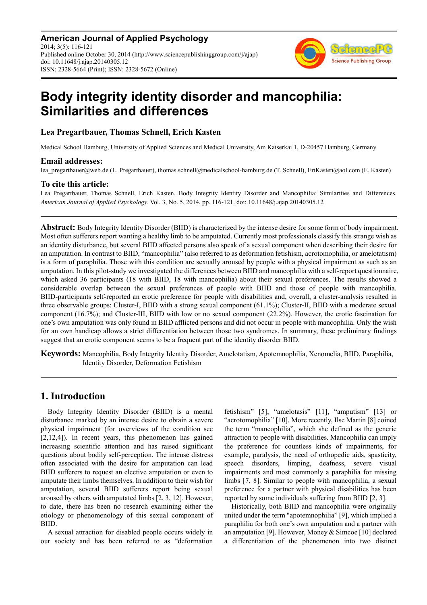**American Journal of Applied Psychology** 2014; 3(5): 116-121 Published online October 30, 2014 (http://www.sciencepublishinggroup.com/j/ajap) doi: 10.11648/j.ajap.20140305.12 ISSN: 2328-5664 (Print); ISSN: 2328-5672 (Online)



# **Body integrity identity disorder and mancophilia: Similarities and differences**

# **Lea Pregartbauer, Thomas Schnell, Erich Kasten**

Medical School Hamburg, University of Applied Sciences and Medical University, Am Kaiserkai 1, D-20457 Hamburg, Germany

### **Email addresses:**

lea pregartbauer@web.de (L. Pregartbauer), thomas.schnell@medicalschool-hamburg.de (T. Schnell), EriKasten@aol.com (E. Kasten)

## **To cite this article:**

Lea Pregartbauer, Thomas Schnell, Erich Kasten. Body Integrity Identity Disorder and Mancophilia: Similarities and Differences. *American Journal of Applied Psychology.* Vol. 3, No. 5, 2014, pp. 116-121. doi: 10.11648/j.ajap.20140305.12

**Abstract:** Body Integrity Identity Disorder (BIID) is characterized by the intense desire for some form of body impairment. Most often sufferers report wanting a healthy limb to be amputated. Currently most professionals classify this strange wish as an identity disturbance, but several BIID affected persons also speak of a sexual component when describing their desire for an amputation. In contrast to BIID, "mancophilia" (also referred to as deformation fetishism, acrotomophilia, or amelotatism) is a form of paraphilia. Those with this condition are sexually aroused by people with a physical impairment as such as an amputation. In this pilot-study we investigated the differences between BIID and mancophilia with a self-report questionnaire, which asked 36 participants (18 with BIID, 18 with mancophilia) about their sexual preferences. The results showed a considerable overlap between the sexual preferences of people with BIID and those of people with mancophilia. BIID-participants self-reported an erotic preference for people with disabilities and, overall, a cluster-analysis resulted in three observable groups: Cluster-I, BIID with a strong sexual component (61.1%); Cluster-II, BIID with a moderate sexual component (16.7%); and Cluster-III, BIID with low or no sexual component (22.2%). However, the erotic fascination for one's own amputation was only found in BIID afflicted persons and did not occur in people with mancophilia. Only the wish for an own handicap allows a strict differentiation between those two syndromes. In summary, these preliminary findings suggest that an erotic component seems to be a frequent part of the identity disorder BIID.

**Keywords:** Mancophilia, Body Integrity Identity Disorder, Amelotatism, Apotemnophilia, Xenomelia, BIID, Paraphilia, Identity Disorder, Deformation Fetishism

# **1. Introduction**

Body Integrity Identity Disorder (BIID) is a mental disturbance marked by an intense desire to obtain a severe physical impairment (for overviews of the condition see [2,12,4]). In recent years, this phenomenon has gained increasing scientific attention and has raised significant questions about bodily self-perception. The intense distress often associated with the desire for amputation can lead BIID sufferers to request an elective amputation or even to amputate their limbs themselves. In addition to their wish for amputation, several BIID sufferers report being sexual aroused by others with amputated limbs [2, 3, 12]. However, to date, there has been no research examining either the etiology or phenomenology of this sexual component of BIID.

A sexual attraction for disabled people occurs widely in our society and has been referred to as "deformation fetishism" [5], "amelotasis" [11], "amputism" [13] or "acrotomophilia" [10]. More recently, Ilse Martin [8] coined the term "mancophilia", which she defined as the generic attraction to people with disabilities. Mancophilia can imply the preference for countless kinds of impairments, for example, paralysis, the need of orthopedic aids, spasticity, speech disorders, limping, deafness, severe visual impairments and most commonly a paraphilia for missing limbs [7, 8]. Similar to people with mancophilia, a sexual preference for a partner with physical disabilities has been reported by some individuals suffering from BIID [2, 3].

Historically, both BIID and mancophilia were originally united under the term "apotemnophilia" [9], which implied a paraphilia for both one's own amputation and a partner with an amputation [9]. However, Money & Simcoe [10] declared a differentiation of the phenomenon into two distinct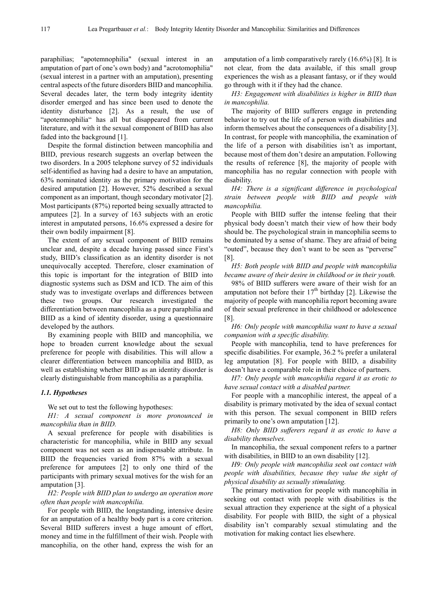paraphilias; "apotemnophilia" (sexual interest in an amputation of part of one's own body) and "acrotomophilia" (sexual interest in a partner with an amputation), presenting central aspects of the future disorders BIID and mancophilia. Several decades later, the term body integrity identity disorder emerged and has since been used to denote the identity disturbance [2]. As a result, the use of "apotemnophilia" has all but disappeared from current literature, and with it the sexual component of BIID has also faded into the background [1].

Despite the formal distinction between mancophilia and BIID, previous research suggests an overlap between the two disorders. In a 2005 telephone survey of 52 individuals self-identified as having had a desire to have an amputation, 63% nominated identity as the primary motivation for the desired amputation [2]. However, 52% described a sexual component as an important, though secondary motivator [2]. Most participants (87%) reported being sexually attracted to amputees [2]. In a survey of 163 subjects with an erotic interest in amputated persons, 16.6% expressed a desire for their own bodily impairment [8].

The extent of any sexual component of BIID remains unclear and, despite a decade having passed since First's study, BIID's classification as an identity disorder is not unequivocally accepted. Therefore, closer examination of this topic is important for the integration of BIID into diagnostic systems such as DSM and ICD. The aim of this study was to investigate overlaps and differences between these two groups. Our research investigated the differentiation between mancophilia as a pure paraphilia and BIID as a kind of identity disorder, using a questionnaire developed by the authors.

By examining people with BIID and mancophilia, we hope to broaden current knowledge about the sexual preference for people with disabilities. This will allow a clearer differentiation between mancophilia and BIID, as well as establishing whether BIID as an identity disorder is clearly distinguishable from mancophilia as a paraphilia.

#### *1.1. Hypotheses*

We set out to test the following hypotheses:

*H1: A sexual component is more pronounced in mancophilia than in BIID.* 

A sexual preference for people with disabilities is characteristic for mancophilia, while in BIID any sexual component was not seen as an indispensable attribute. In BIID the frequencies varied from 87% with a sexual preference for amputees [2] to only one third of the participants with primary sexual motives for the wish for an amputation [3].

*H2: People with BIID plan to undergo an operation more often than people with mancophilia.* 

For people with BIID, the longstanding, intensive desire for an amputation of a healthy body part is a core criterion. Several BIID sufferers invest a huge amount of effort, money and time in the fulfillment of their wish. People with mancophilia, on the other hand, express the wish for an

amputation of a limb comparatively rarely (16.6%) [8]. It is not clear, from the data available, if this small group experiences the wish as a pleasant fantasy, or if they would go through with it if they had the chance.

*H3: Engagement with disabilities is higher in BIID than in mancophilia.* 

The majority of BIID sufferers engage in pretending behavior to try out the life of a person with disabilities and inform themselves about the consequences of a disability [3]. In contrast, for people with mancophilia, the examination of the life of a person with disabilities isn't as important, because most of them don't desire an amputation. Following the results of reference [8], the majority of people with mancophilia has no regular connection with people with disability.

*H4: There is a significant difference in psychological strain between people with BIID and people with mancophilia.* 

People with BIID suffer the intense feeling that their physical body doesn't match their view of how their body should be. The psychological strain in mancophilia seems to be dominated by a sense of shame. They are afraid of being "outed", because they don't want to be seen as "perverse" [8].

*H5: Both people with BIID and people with mancophilia became aware of their desire in childhood or in their youth.* 

98% of BIID sufferers were aware of their wish for an amputation not before their  $17<sup>th</sup>$  birthday [2]. Likewise the majority of people with mancophilia report becoming aware of their sexual preference in their childhood or adolescence [8].

*H6: Only people with mancophilia want to have a sexual companion with a specific disability.* 

People with mancophilia, tend to have preferences for specific disabilities. For example, 36.2 % prefer a unilateral leg amputation [8]. For people with BIID, a disability doesn't have a comparable role in their choice of partners.

*H7: Only people with mancophilia regard it as erotic to have sexual contact with a disabled partner.* 

For people with a mancophilic interest, the appeal of a disability is primary motivated by the idea of sexual contact with this person. The sexual component in BIID refers primarily to one's own amputation [12].

*H8: Only BIID sufferers regard it as erotic to have a disability themselves.* 

In mancophilia, the sexual component refers to a partner with disabilities, in BIID to an own disability [12].

*H9: Only people with mancophilia seek out contact with people with disabilities, because they value the sight of physical disability as sexually stimulating.* 

The primary motivation for people with mancophilia in seeking out contact with people with disabilities is the sexual attraction they experience at the sight of a physical disability. For people with BIID, the sight of a physical disability isn't comparably sexual stimulating and the motivation for making contact lies elsewhere.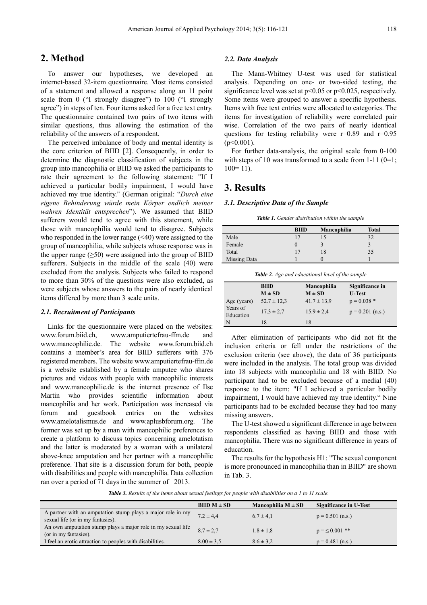# **2. Method**

To answer our hypotheses, we developed an internet-based 32-item questionnaire. Most items consisted of a statement and allowed a response along an 11 point scale from 0 ("I strongly disagree") to 100 ("I strongly agree") in steps of ten. Four items asked for a free text entry. The questionnaire contained two pairs of two items with similar questions, thus allowing the estimation of the reliability of the answers of a respondent.

The perceived imbalance of body and mental identity is the core criterion of BIID [2]. Consequently, in order to determine the diagnostic classification of subjects in the group into mancophilia or BIID we asked the participants to rate their agreement to the following statement: "If I achieved a particular bodily impairment, I would have achieved my true identity." (German original: "*Durch eine eigene Behinderung würde mein Körper endlich meiner wahren Identität entsprechen*"). We assumed that BIID sufferers would tend to agree with this statement, while those with mancophilia would tend to disagree. Subjects who responded in the lower range  $(\leq 40)$  were assigned to the group of mancophilia, while subjects whose response was in the upper range  $(\geq 50)$  were assigned into the group of BIID sufferers. Subjects in the middle of the scale (40) were excluded from the analysis. Subjects who failed to respond to more than 30% of the questions were also excluded, as were subjects whose answers to the pairs of nearly identical items differed by more than 3 scale units.

#### *2.1. Recruitment of Participants*

Links for the questionnaire were placed on the websites: www.forum.biid.ch, www.amputiertefrau-ffm.de and www.mancophilie.de. The website www.forum.biid.ch contains a member's area for BIID sufferers with 376 registered members. The website www.amputiertefrau-ffm.de is a website established by a female amputee who shares pictures and videos with people with mancophilic interests and www.mancophilie.de is the internet presence of Ilse Martin who provides scientific information about mancophilia and her work. Participation was increased via forum and guestbook entries on the websites www.amelotalismus.de and www.aplusbforum.org. The former was set up by a man with mancophilic preferences to create a platform to discuss topics concerning amelotatism and the latter is moderated by a woman with a unilateral above-knee amputation and her partner with a mancophilic preference. That site is a discussion forum for both, people with disabilities and people with mancophilia. Data collection ran over a period of 71 days in the summer of 2013.

#### *2.2. Data Analysis*

The Mann-Whitney U-test was used for statistical analysis. Depending on one- or two-sided testing, the significance level was set at  $p<0.05$  or  $p<0.025$ , respectively. Some items were grouped to answer a specific hypothesis. Items with free text entries were allocated to categories. The items for investigation of reliability were correlated pair wise. Correlation of the two pairs of nearly identical questions for testing reliability were  $r=0.89$  and  $r=0.95$  $(p<0.001)$ .

For further data-analysis, the original scale from 0-100 with steps of 10 was transformed to a scale from  $1-11$  ( $0=1$ ;  $100=11$ ).

### **3. Results**

#### *3.1. Descriptive Data of the Sample*

*Table 1. Gender distribution within the sample* 

|              | <b>BIID</b> | Mancophilia | <b>Total</b> |  |
|--------------|-------------|-------------|--------------|--|
| Male         | 17          |             | 32           |  |
| Female       |             |             |              |  |
| Total        |             | 18          | 35           |  |
| Missing Data |             | U           |              |  |

*Table 2. Age and educational level of the sample* 

|                       | <b>BIID</b>     | Mancophilia     | Significance in    |
|-----------------------|-----------------|-----------------|--------------------|
|                       | $M \pm SD$      | $M \pm SD$      | <b>U-Test</b>      |
| Age (years)           | $52.7 \pm 12.3$ | $41.7 \pm 13.9$ | $p = 0.038$ *      |
| Years of<br>Education | $17.3 \pm 2.7$  | $15.9 \pm 2.4$  | $p = 0.201$ (n.s.) |
| N                     | 18              | 18              |                    |

After elimination of participants who did not fit the inclusion criteria or fell under the restrictions of the exclusion criteria (see above), the data of 36 participants were included in the analysis. The total group was divided into 18 subjects with mancophilia and 18 with BIID. No participant had to be excluded because of a medial (40) response to the item: "If I achieved a particular bodily impairment, I would have achieved my true identity." Nine participants had to be excluded because they had too many missing answers.

The U-test showed a significant difference in age between respondents classified as having BIID and those with mancophilia. There was no significant difference in years of education.

The results for the hypothesis H1: "The sexual component is more pronounced in mancophilia than in BIID" are shown in Tab. 3.

*Table 3. Results of the items about sexual feelings for people with disabilities on a 1 to 11 scale.* 

|                                                                                                  | $BIID M \pm SD$ | Mancophilia $M \pm SD$ | Significance in U-Test |
|--------------------------------------------------------------------------------------------------|-----------------|------------------------|------------------------|
| A partner with an amputation stump plays a major role in my<br>sexual life (or in my fantasies). | $7.2 \pm 4.4$   | $6.7 \pm 4.1$          | $p = 0.501$ (n.s.)     |
| An own amputation stump plays a major role in my sexual life<br>(or in my fantasies).            | $8.7 \pm 2.7$   | $1.8 \pm 1.8$          | $p = \leq 0.001$ **    |
| I feel an erotic attraction to peoples with disabilities.                                        | $8.00 \pm 3.5$  | $8.6 \pm 3.2$          | $p = 0.481$ (n.s.)     |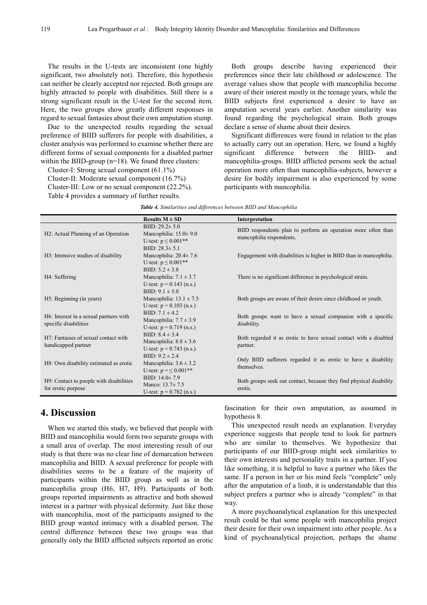The results in the U-tests are inconsistent (one highly significant, two absolutely not). Therefore, this hypothesis can neither be clearly accepted nor rejected. Both groups are highly attracted to people with disabilities. Still there is a strong significant result in the U-test for the second item. Here, the two groups show greatly different responses in regard to sexual fantasies about their own amputation stump.

Due to the unexpected results regarding the sexual preference of BIID sufferers for people with disabilities, a cluster analysis was performed to examine whether there are different forms of sexual components for a disabled partner within the BIID-group (n=18). We found three clusters:

Cluster-I: Strong sexual component (61.1%) Cluster-II: Moderate sexual component (16.7%)

Cluster-III: Low or no sexual component (22.2%). Table 4 provides a summary of further results.

Both groups describe having experienced their preferences since their late childhood or adolescence. The average values show that people with mancophilia become aware of their interest mostly in the teenage years, while the BIID subjects first experienced a desire to have an amputation several years earlier. Another similarity was found regarding the psychological strain. Both groups declare a sense of shame about their desires.

Significant differences were found in relation to the plan to actually carry out an operation. Here, we found a highly significant difference between the BIID- and mancophilia-groups. BIID afflicted persons seek the actual operation more often than mancophilia-subjects, however a desire for bodily impairment is also experienced by some participants with mancophilia.

| Table 4. Similarities and differences between BIID and Mancophilia |  |  |  |
|--------------------------------------------------------------------|--|--|--|
|--------------------------------------------------------------------|--|--|--|

|                                                                 | Results $M \pm SD$                                                                                    | Interpretation                                                                            |
|-----------------------------------------------------------------|-------------------------------------------------------------------------------------------------------|-------------------------------------------------------------------------------------------|
| H <sub>2</sub> : Actual Planning of an Operation                | BIID: $29.2 \pm 5.0$<br>Mancophilia: $15.0 \pm 9.0$<br>U-test: $p \le 0.001**$                        | BIID respondents plan to perform an operation more often than<br>mancophilia respondents. |
| H3: Intensive studies of disability                             | BIID: $28.3 \pm 5.1$<br>Mancophilia: $20.4 \pm 7.6$<br>U-test: $p \le 0.001**$<br>BIID: $5.2 \pm 3.8$ | Engagement with disabilities is higher in BIID than in mancophilia.                       |
| H4: Suffering                                                   | Mancophilia: $7.1 \pm 3.7$<br>U-test: $p = 0.143$ (n.s.)<br>BIID: $9.1 \pm 5.0$                       | There is no significant difference in psychological strain.                               |
| H <sub>5</sub> : Beginning (in years)                           | Mancophilia: $13.1 \pm 7.5$<br>U-test: $p = 0.103$ (n.s.)                                             | Both groups are aware of their desire since childhood or youth.                           |
| H6: Interest in a sexual partners with<br>specific disabilities | BIID: $7.1 \pm 4.2$<br>Mancophilia: $7.7 \pm 3.9$<br>U-test: $p = 0.719$ (n.s.)                       | Both groups want to have a sexual companion with a specific<br>disability.                |
| H7: Fantasies of sexual contact with<br>handicapped partner     | BIID: $8.4 \pm 3.4$<br>Mancophilia: $8.8 \pm 3.6$<br>U-test: $p = 0.743$ (n.s.)                       | Both regarded it as erotic to have sexual contact with a disabled<br>partner.             |
| H8: Own disability estimated as erotic                          | BIID: $9.2 \pm 2.4$<br>Mancophilia: $3.6 \pm 3.2$<br>U-test: $p = \le 0.001$ **                       | Only BIID sufferers regarded it as erotic to have a disability<br>themselves.             |
| H9: Contact to people with disabilities<br>for erotic purpose   | BIID: $14.0 \pm 7.9$<br>Manco: $13.7 \pm 7.5$<br>U-test: $p = 0.782$ (n.s.)                           | Both groups seek out contact, because they find physical disability<br>erotic.            |

# **4. Discussion**

When we started this study, we believed that people with BIID and mancophilia would form two separate groups with a small area of overlap. The most interesting result of our study is that there was no clear line of demarcation between mancophilia and BIID. A sexual preference for people with disabilities seems to be a feature of the majority of participants within the BIID group as well as in the mancophilia group (H6, H7, H9). Participants of both groups reported impairments as attractive and both showed interest in a partner with physical deformity. Just like those with mancophilia, most of the participants assigned to the BIID group wanted intimacy with a disabled person. The central difference between these two groups was that generally only the BIID afflicted subjects reported an erotic

fascination for their own amputation, as assumed in hypothesis 8.

This unexpected result needs an explanation. Everyday experience suggests that people tend to look for partners who are similar to themselves. We hypothesize that participants of our BIID-group might seek similarities to their own interests and personality traits in a partner. If you like something, it is helpful to have a partner who likes the same. If a person in her or his mind feels "complete" only after the amputation of a limb, it is understandable that this subject prefers a partner who is already "complete" in that way.

A more psychoanalytical explanation for this unexpected result could be that some people with mancophilia project their desire for their own impairment into other people. As a kind of psychoanalytical projection, perhaps the shame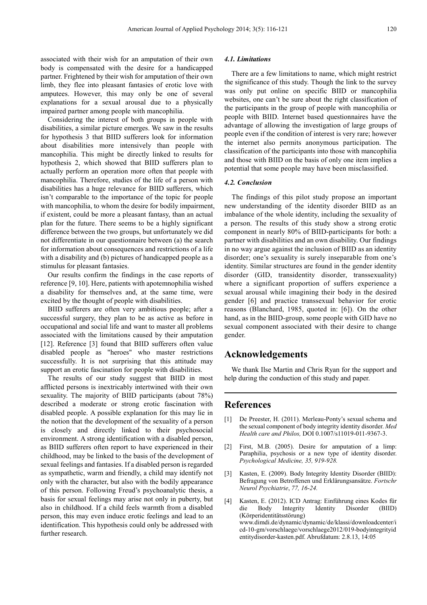associated with their wish for an amputation of their own body is compensated with the desire for a handicapped partner. Frightened by their wish for amputation of their own limb, they flee into pleasant fantasies of erotic love with amputees. However, this may only be one of several explanations for a sexual arousal due to a physically impaired partner among people with mancophilia.

Considering the interest of both groups in people with disabilities, a similar picture emerges. We saw in the results for hypothesis 3 that BIID sufferers look for information about disabilities more intensively than people with mancophilia. This might be directly linked to results for hypothesis 2, which showed that BIID sufferers plan to actually perform an operation more often that people with mancophilia. Therefore, studies of the life of a person with disabilities has a huge relevance for BIID sufferers, which isn't comparable to the importance of the topic for people with mancophilia, to whom the desire for bodily impairment, if existent, could be more a pleasant fantasy, than an actual plan for the future. There seems to be a highly significant difference between the two groups, but unfortunately we did not differentiate in our questionnaire between (a) the search for information about consequences and restrictions of a life with a disability and (b) pictures of handicapped people as a stimulus for pleasant fantasies.

Our results confirm the findings in the case reports of reference [9, 10]. Here, patients with apotemnophilia wished a disability for themselves and, at the same time, were excited by the thought of people with disabilities.

BIID sufferers are often very ambitious people; after a successful surgery, they plan to be as active as before in occupational and social life and want to master all problems associated with the limitations caused by their amputation [12]. Reference [3] found that BIID sufferers often value disabled people as "heroes" who master restrictions successfully. It is not surprising that this attitude may support an erotic fascination for people with disabilities.

The results of our study suggest that BIID in most afflicted persons is inextricably intertwined with their own sexuality. The majority of BIID participants (about 78%) described a moderate or strong erotic fascination with disabled people. A possible explanation for this may lie in the notion that the development of the sexuality of a person is closely and directly linked to their psychosocial environment. A strong identification with a disabled person, as BIID sufferers often report to have experienced in their childhood, may be linked to the basis of the development of sexual feelings and fantasies. If a disabled person is regarded as sympathetic, warm and friendly, a child may identify not only with the character, but also with the bodily appearance of this person. Following Freud's psychoanalytic thesis, a basis for sexual feelings may arise not only in puberty, but also in childhood. If a child feels warmth from a disabled person, this may even induce erotic feelings and lead to an identification. This hypothesis could only be addressed with further research.

#### *4.1. Limitations*

There are a few limitations to name, which might restrict the significance of this study. Though the link to the survey was only put online on specific BIID or mancophilia websites, one can't be sure about the right classification of the participants in the group of people with mancophilia or people with BIID. Internet based questionnaires have the advantage of allowing the investigation of large groups of people even if the condition of interest is very rare; however the internet also permits anonymous participation. The classification of the participants into those with mancophilia and those with BIID on the basis of only one item implies a potential that some people may have been misclassified.

#### *4.2. Conclusion*

The findings of this pilot study propose an important new understanding of the identity disorder BIID as an imbalance of the whole identity, including the sexuality of a person. The results of this study show a strong erotic component in nearly 80% of BIID-participants for both: a partner with disabilities and an own disability. Our findings in no way argue against the inclusion of BIID as an identity disorder; one's sexuality is surely inseparable from one's identity. Similar structures are found in the gender identity disorder (GID, transidentity disorder, transsexuality) where a significant proportion of suffers experience a sexual arousal while imagining their body in the desired gender [6] and practice transsexual behavior for erotic reasons (Blanchard, 1985, quoted in: [6]). On the other hand, as in the BIID-group, some people with GID have no sexual component associated with their desire to change gender.

# **Acknowledgements**

We thank Ilse Martin and Chris Ryan for the support and help during the conduction of this study and paper.

### **References**

- [1] De Preester, H. (2011). Merleau-Ponty's sexual schema and the sexual component of body integrity identity disorder. *Med Health care and Philos,* DOI 0.1007/s11019-011-9367-3.
- [2] First, M.B. (2005). Desire for amputation of a limp: Paraphilia, psychosis or a new type of identity disorder. *Psychological Medicine, 35, 919-928.*
- [3] Kasten, E. (2009). Body Integrity Identity Disorder (BIID): Befragung von Betroffenen und Erklärungsansätze. *Fortschr Neurol Psychiatrie*, *77, 16-24.*
- [4] Kasten, E. (2012). ICD Antrag: Einführung eines Kodes für die Body Integrity Identity Disorder (BIID) (Körperidentitätsstörung) www.dimdi.de/dynamic/dynamic/de/klassi/downloadcenter/i cd-10-gm/vorschlaege/vorschlaege2012/019-bodyintegrityid entitydisorder-kasten.pdf. Abrufdatum: 2.8.13, 14:05